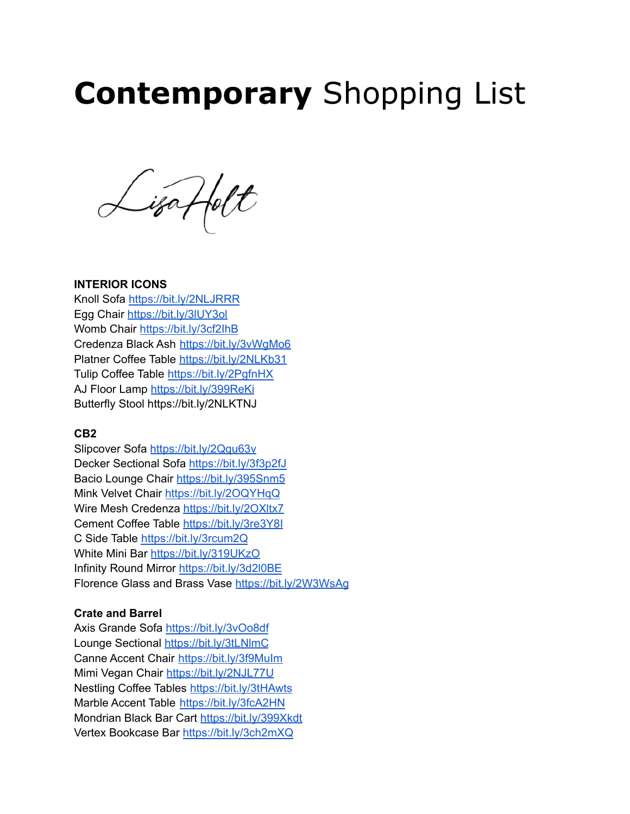# **Contemporary** Shopping List

Lisaffolt

#### **INTERIOR ICONS**

Knoll Sofa <https://bit.ly/2NLJRRR> Egg Chair <https://bit.ly/3lUY3ol> Womb Chair <https://bit.ly/3cf2IhB> Credenza Black Ash <https://bit.ly/3vWgMo6> Platner Coffee Table <https://bit.ly/2NLKb31> Tulip Coffee Table <https://bit.ly/2PgfnHX> AJ Floor Lamp <https://bit.ly/399ReKi> Butterfly Stool https://bit.ly/2NLKTNJ

#### **CB2**

Slipcover Sofa <https://bit.ly/2Qqu63v> Decker Sectional Sofa <https://bit.ly/3f3p2fJ> Bacio Lounge Chair <https://bit.ly/395Snm5> Mink Velvet Chair <https://bit.ly/2OQYHqQ> Wire Mesh Credenza <https://bit.ly/2OXltx7> Cement Coffee Table <https://bit.ly/3re3Y8I> C Side Table <https://bit.ly/3rcum2Q> White Mini Bar <https://bit.ly/319UKzO> Infinity Round Mirror <https://bit.ly/3d2l0BE> Florence Glass and Brass Vase <https://bit.ly/2W3WsAg>

## **Crate and Barrel**

Axis Grande Sofa <https://bit.ly/3vOo8df> Lounge Sectional <https://bit.ly/3tLNlmC> Canne Accent Chair <https://bit.ly/3f9MuIm> Mimi Vegan Chair <https://bit.ly/2NJL77U> Nestling Coffee Tables <https://bit.ly/3tHAwts> Marble Accent Table <https://bit.ly/3fcA2HN> Mondrian Black Bar Cart <https://bit.ly/399Xkdt> Vertex Bookcase Bar <https://bit.ly/3ch2mXQ>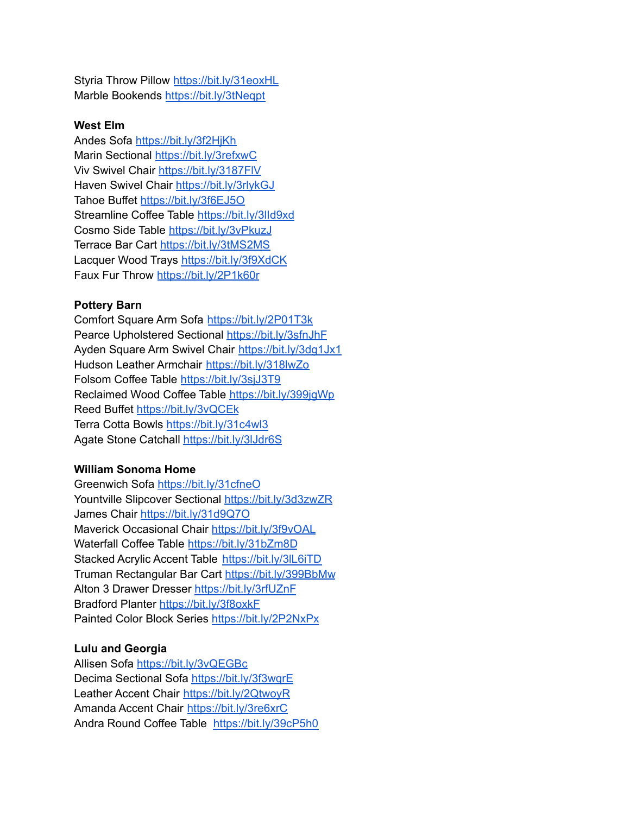Styria Throw Pillow <https://bit.ly/31eoxHL> Marble Bookends <https://bit.ly/3tNeqpt>

## **West Elm**

Andes Sofa <https://bit.ly/3f2HjKh> Marin Sectional <https://bit.ly/3refxwC> Viv Swivel Chair <https://bit.ly/3187FlV> Haven Swivel Chair <https://bit.ly/3rlykGJ> Tahoe Buffet <https://bit.ly/3f6EJ5O> Streamline Coffee Table <https://bit.ly/3lId9xd> Cosmo Side Table <https://bit.ly/3vPkuzJ> Terrace Bar Cart <https://bit.ly/3tMS2MS> Lacquer Wood Trays <https://bit.ly/3f9XdCK> Faux Fur Throw <https://bit.ly/2P1k60r>

## **Pottery Barn**

Comfort Square Arm Sofa <https://bit.ly/2P01T3k> Pearce Upholstered Sectional <https://bit.ly/3sfnJhF> Ayden Square Arm Swivel Chair <https://bit.ly/3dg1Jx1> Hudson Leather Armchair <https://bit.ly/318lwZo> Folsom Coffee Table <https://bit.ly/3sjJ3T9> Reclaimed Wood Coffee Table <https://bit.ly/399jgWp> Reed Buffet <https://bit.ly/3vQCEk> Terra Cotta Bowls <https://bit.ly/31c4wl3> Agate Stone Catchall <https://bit.ly/3lJdr6S>

## **William Sonoma Home**

Greenwich Sofa <https://bit.ly/31cfneO> Yountville Slipcover Sectional <https://bit.ly/3d3zwZR> James Chair <https://bit.ly/31d9Q7O> Maverick Occasional Chair <https://bit.ly/3f9vOAL> Waterfall Coffee Table <https://bit.ly/31bZm8D> Stacked Acrylic Accent Table <https://bit.ly/3lL6iTD> Truman Rectangular Bar Cart <https://bit.ly/399BbMw> Alton 3 Drawer Dresser <https://bit.ly/3rfUZnF> Bradford Planter <https://bit.ly/3f8oxkF> Painted Color Block Series <https://bit.ly/2P2NxPx>

#### **Lulu and Georgia**

Allisen Sofa <https://bit.ly/3vQEGBc> Decima Sectional Sofa <https://bit.ly/3f3wqrE> Leather Accent Chair <https://bit.ly/2QtwoyR> Amanda Accent Chair <https://bit.ly/3re6xrC> Andra Round Coffee Table <https://bit.ly/39cP5h0>